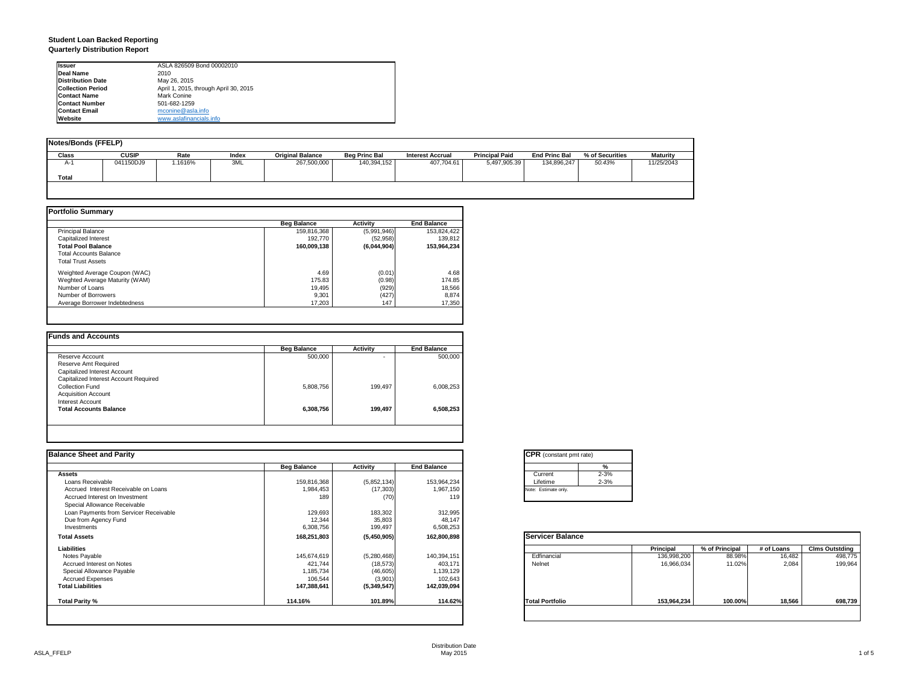#### **Student Loan Backed Reporting Quarterly Distribution Report**

| <b>Issuer</b>            | ASLA 826509 Bond 00002010             |
|--------------------------|---------------------------------------|
| Deal Name                | 2010                                  |
| <b>Distribution Date</b> | May 26, 2015                          |
| <b>Collection Period</b> | April 1, 2015, through April 30, 2015 |
| <b>Contact Name</b>      | Mark Conine                           |
| <b>Contact Number</b>    | 501-682-1259                          |
| <b>Contact Email</b>     | mconine@asla.info                     |
| Website                  | www.aslafinancials.info               |

| Notes/Bonds (FFELP) |              |         |       |                         |                      |                         |                       |                      |                 |                 |
|---------------------|--------------|---------|-------|-------------------------|----------------------|-------------------------|-----------------------|----------------------|-----------------|-----------------|
| <b>Class</b>        | <b>CUSIP</b> | Rate    | Index | <b>Original Balance</b> | <b>Beg Princ Bal</b> | <b>Interest Accrual</b> | <b>Principal Paid</b> | <b>End Princ Bal</b> | % of Securities | <b>Maturity</b> |
| A-1                 | 041150DJ9    | 1.1616% | 3ML   | 267,500,000             | 140,394,152          | 407.704.61              | 5,497,905.39          | 134.896.247          | 50.43%          | 11/25/2043      |
| Total               |              |         |       |                         |                      |                         |                       |                      |                 |                 |
|                     |              |         |       |                         |                      |                         |                       |                      |                 |                 |

|                                | <b>Beg Balance</b> | <b>Activity</b> | <b>End Balance</b> |
|--------------------------------|--------------------|-----------------|--------------------|
| <b>Principal Balance</b>       | 159,816,368        | (5,991,946)     | 153,824,422        |
| Capitalized Interest           | 192.770            | (52.958)        | 139.812            |
| <b>Total Pool Balance</b>      | 160,009,138        | (6,044,904)     | 153,964,234        |
| <b>Total Accounts Balance</b>  |                    |                 |                    |
| <b>Total Trust Assets</b>      |                    |                 |                    |
| Weighted Average Coupon (WAC)  | 4.69               | (0.01)          | 4.68               |
| Weghted Average Maturity (WAM) | 175.83             | (0.98)          | 174.85             |
| Number of Loans                | 19.495             | (929)           | 18,566             |
| Number of Borrowers            | 9,301              | (427)           | 8,874              |
| Average Borrower Indebtedness  | 17.203             | 147             | 17,350             |

|                                       | <b>Beg Balance</b> | <b>Activity</b> | <b>End Balance</b> |
|---------------------------------------|--------------------|-----------------|--------------------|
| Reserve Account                       | 500,000            | ۰.              | 500,000            |
| Reserve Amt Required                  |                    |                 |                    |
| Capitalized Interest Account          |                    |                 |                    |
| Capitalized Interest Account Required |                    |                 |                    |
| Collection Fund                       | 5,808,756          | 199.497         | 6.008.253          |
| <b>Acquisition Account</b>            |                    |                 |                    |
| Interest Account                      |                    |                 |                    |
| <b>Total Accounts Balance</b>         | 6,308,756          | 199,497         | 6,508,253          |

| <b>Balance Sheet and Parity</b>        |                    |             |                    | <b>CPR</b> (constant pmt rate) |             |                |            |                       |
|----------------------------------------|--------------------|-------------|--------------------|--------------------------------|-------------|----------------|------------|-----------------------|
|                                        | <b>Beg Balance</b> | Activity    | <b>End Balance</b> | %                              |             |                |            |                       |
| <b>Assets</b>                          |                    |             |                    | $2 - 3%$<br>Current            |             |                |            |                       |
| Loans Receivable                       | 159,816,368        | (5,852,134) | 153,964,234        | $2 - 3%$<br>Lifetime           |             |                |            |                       |
| Accrued Interest Receivable on Loans   | 1,984,453          | (17, 303)   | 1,967,150          | Note: Estimate only.           |             |                |            |                       |
| Accrued Interest on Investment         | 189                | (70)        | 119                |                                |             |                |            |                       |
| Special Allowance Receivable           |                    |             |                    |                                |             |                |            |                       |
| Loan Payments from Servicer Receivable | 129,693            | 183,302     | 312,995            |                                |             |                |            |                       |
| Due from Agency Fund                   | 12,344             | 35,803      | 48,147             |                                |             |                |            |                       |
| Investments                            | 6,308,756          | 199,497     | 6,508,253          |                                |             |                |            |                       |
| <b>Total Assets</b>                    | 168,251,803        | (5,450,905) | 162,800,898        | <b>Servicer Balance</b>        |             |                |            |                       |
| Liabilities                            |                    |             |                    |                                | Principal   | % of Principal | # of Loans | <b>Clms Outstding</b> |
| Notes Payable                          | 145,674,619        | (5,280,468) | 140,394,151        | Edfinancial                    | 136,998,200 | 88.98%         | 16,482     | 498,775               |
| Accrued Interest on Notes              | 421,744            | (18, 573)   | 403,171            | Nelnet                         | 16,966,034  | 11.02%         | 2.084      | 199,964               |
| Special Allowance Payable              | 1,185,734          | (46, 605)   | 1,139,129          |                                |             |                |            |                       |
| <b>Accrued Expenses</b>                | 106,544            | (3,901)     | 102,643            |                                |             |                |            |                       |
| <b>Total Liabilities</b>               | 147,388,641        | (5,349,547) | 142,039,094        |                                |             |                |            |                       |
| Total Parity %                         | 114.16%            | 101.89%     | 114.62%            | <b>Total Portfolio</b>         | 153,964,234 | 100.00%        | 18,566     | 698,739               |
|                                        |                    |             |                    |                                |             |                |            |                       |

| Current  | $2 - 3%$ |
|----------|----------|
| Lifetime | $2 - 3%$ |

|                        | Principal   | % of Principal | # of Loans | <b>Clms Outstding</b> |
|------------------------|-------------|----------------|------------|-----------------------|
| Edfinancial            | 136,998,200 | 88.98%         | 16,482     | 498,775               |
| Nelnet                 | 16,966,034  | 11.02%         | 2,084      | 199,964               |
| <b>Total Portfolio</b> | 153,964,234 | 100.00%        | 18,566     | 698,739               |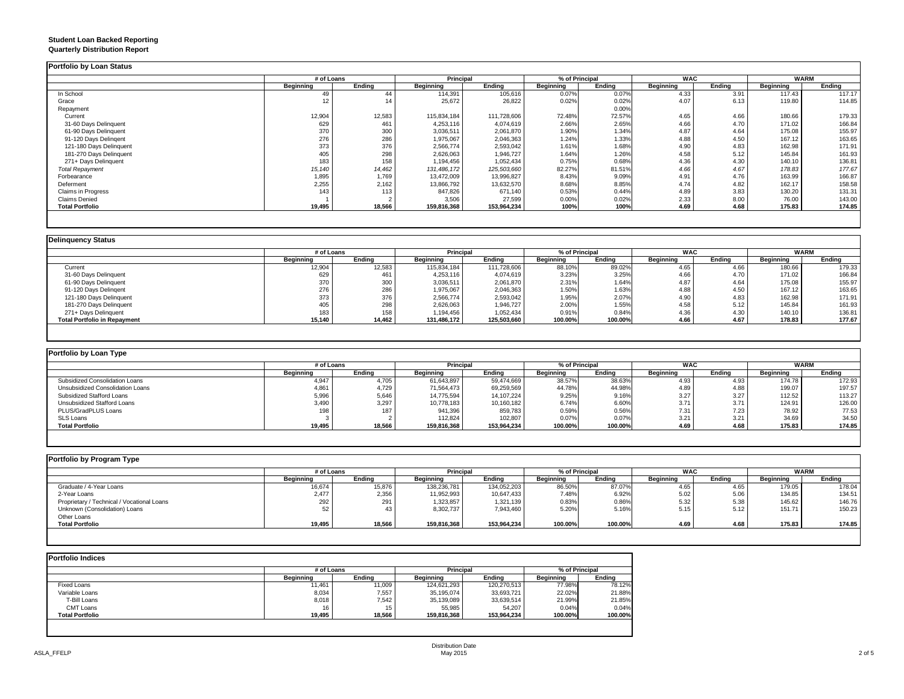#### **Student Loan Backed Reporting Quarterly Distribution Report**

|                         | # of Loans |        | Principal   |             | % of Principal |        | <b>WAC</b> |        | <b>WARM</b> |        |
|-------------------------|------------|--------|-------------|-------------|----------------|--------|------------|--------|-------------|--------|
|                         | Beginning  | Ending | Beginning   | Ending      | Beginning      | Ending | Beginning  | Ending | Beginning   | Ending |
| In School               | 49         | 44     | 114,391     | 105,616     | 0.07%          | 0.07%  | 4.33       | 3.91   | 117.43      | 117.17 |
| Grace                   | 12         |        | 25,672      | 26,822      | 0.02%          | 0.02%  | 4.07       | 6.13   | 119.80      | 114.85 |
| Repayment               |            |        |             |             |                | 0.00%  |            |        |             |        |
| Current                 | 12,904     | 12,583 | 115,834,184 | 111,728,606 | 72.48%         | 72.57% | 4.65       | 4.66   | 180.66      | 179.33 |
| 31-60 Days Delinquent   | 629        | 461    | 4,253,116   | 4,074,619   | 2.66%          | 2.65%  | 4.66       | 4.70   | 171.02      | 166.84 |
| 61-90 Days Delinquent   | 370        | 300    | 3,036,511   | 2,061,870   | 1.90%          | 1.34%  | 4.87       | 4.64   | 175.08      | 155.97 |
| 91-120 Days Delingent   | 276        | 286    | 1,975,067   | 2,046,363   | 1.24%          | 1.33%  | 4.88       | 4.50   | 167.12      | 163.65 |
| 121-180 Days Delinquent | 373        | 376    | 2,566,774   | 2,593,042   | 1.61%          | 1.68%  | 4.90       | 4.83   | 162.98      | 171.91 |
| 181-270 Days Delinquent | 405        | 298    | 2,626,063   | 1,946,727   | 1.64%          | 1.26%  | 4.58       | 5.12   | 145.84      | 161.93 |
| 271+ Days Delinquent    | 183        | 158    | 1,194,456   | 1,052,434   | 0.75%          | 0.68%  | 4.36       | 4.30   | 140.10      | 136.81 |
| <b>Total Repayment</b>  | 15,140     | 14,462 | 131,486,172 | 125,503,660 | 82.27%         | 81.51% | 4.66       | 4.67   | 178.83      | 177.67 |
| Forbearance             | 1,895      | 1,769  | 13,472,009  | 13,996,827  | 8.43%          | 9.09%  | 4.91       | 4.76   | 163.99      | 166.87 |
| Deferment               | 2,255      | 2,162  | 13,866,792  | 13,632,570  | 8.68%          | 8.85%  | 4.74       | 4.82   | 162.17      | 158.58 |
| Claims in Progress      | 143        | 113    | 847,826     | 671,140     | 0.53%          | 0.44%  | 4.89       | 3.83   | 130.20      | 131.31 |
| <b>Claims Denied</b>    |            |        | 3,506       | 27,599      | 0.00%          | 0.02%  | 2.33       | 8.00   | 76.00       | 143.00 |
| <b>Total Portfolio</b>  | 19,495     | 18,566 | 159,816,368 | 153,964,234 | 100%           | 100%   | 4.69       | 4.68   | 175.83      | 174.85 |

|                                     | # of Loans |        | <b>Principal</b> |             | % of Principal |         | <b>WAC</b>       |        | <b>WARM</b> |        |
|-------------------------------------|------------|--------|------------------|-------------|----------------|---------|------------------|--------|-------------|--------|
|                                     | Beainnina  | Endina | <b>Beainnina</b> | Endina      | Beginning      | Endina  | <b>Beginning</b> | Endina | Beginning   | Ending |
| Current                             | 12.904     | 12,583 | 115,834,184      | 111,728,606 | 88.10%         | 89.02%  | 4.65             | 4.66   | 180.66      | 179.33 |
| 31-60 Days Delinquent               | 629        | 461    | 4,253,116        | 4,074,619   | 3.23%          | 3.25%   | 4.66             | 4.70   | 171.02      | 166.84 |
| 61-90 Days Delinquent               | 370        | 300    | 3,036,511        | 2,061,870   | 2.31%          | 1.64%   | 4.87             | 4.64   | 175.08      | 155.97 |
| 91-120 Days Delingent               | 276        | 286    | 1,975,067        | 2,046,363   | 1.50%          | 1.63%   | 4.88             | 4.50   | 167.12      | 163.65 |
| 121-180 Days Delinquent             | 373        | 376    | 2,566,774        | 2,593,042   | 1.95%          | 2.07%   | 4.90             | 4.83   | 162.98      | 171.91 |
| 181-270 Days Delinquent             | 405        | 298    | 2,626,063        | 1,946,727   | 2.00%          | 1.55%   | 4.58             | 5.12   | 145.84      | 161.93 |
| 271+ Days Delinquent                | 183        | 158    | 1,194,456        | 1,052,434   | 0.91%          | 0.84%   | 4.36             | 4.30   | 140.10      | 136.81 |
| <b>Total Portfolio in Repayment</b> | 15,140     | 14,462 | 131,486,172      | 125,503,660 | 100.00%        | 100.00% | 4.66             | 4.67   | 178.83      | 177.67 |

| Portfolio by Loan Type           |                  |        |                  |             |                  |         |                  |        |             |        |
|----------------------------------|------------------|--------|------------------|-------------|------------------|---------|------------------|--------|-------------|--------|
|                                  | # of Loans       |        | <b>Principal</b> |             | % of Principal   |         | WAC              |        | <b>WARM</b> |        |
|                                  | <b>Beginning</b> | Endina | Beginning        | Endina      | <b>Beginning</b> | Endina  | <b>Beginning</b> | Ending | Beginning   | Ending |
| Subsidized Consolidation Loans   | 4.947            | 4.705  | 61,643,897       | 59.474.669  | 38.57%           | 38.63%  | 4.93             | 4.93   | 174.78      | 172.93 |
| Unsubsidized Consolidation Loans | 4,861            | 4,729  | 71,564,473       | 69,259,569  | 44.78%           | 44.98%  | 4.89             | 4.88   | 199.07      | 197.57 |
| Subsidized Stafford Loans        | 5,996            | 5.646  | 14.775.594       | 14.107.224  | 9.25%            | 9.16%   | 3.27             | 3.27   | 112.52      | 113.27 |
| Unsubsidized Stafford Loans      | 3,490            | 3,297  | 10,778,183       | 10,160,182  | 6.74%            | 6.60%   | 3.7'             | 3.71   | 124.91      | 126.00 |
| PLUS/GradPLUS Loans              | 198              | 187    | 941,396          | 859,783     | 0.59%            | 0.56%   | 7.31             | 7.23   | 78.92       | 77.53  |
| <b>SLS Loans</b>                 |                  |        | 112,824          | 102.807     | 0.07%            | 0.07%   | 3.21             | 3.21   | 34.69       | 34.50  |
| <b>Total Portfolio</b>           | 19,495           | 18,566 | 159,816,368      | 153,964,234 | 100.00%          | 100.00% | 4.69             | 4.68   | 175.83      | 174.85 |

| Portfolio by Program Type                  |            |        |                  |             |                |         |                  |        |                  |        |
|--------------------------------------------|------------|--------|------------------|-------------|----------------|---------|------------------|--------|------------------|--------|
|                                            | # of Loans |        | <b>Principal</b> |             | % of Principal |         | <b>WAC</b>       |        | <b>WARM</b>      |        |
|                                            | Beginning  | Endina | Beginning        | Endina      | Beainnina      | Endina  | <b>Beainning</b> | Endina | <b>Beginning</b> | Endina |
| Graduate / 4-Year Loans                    | 16,674     | 15,876 | 138,236,78       | 134,052,203 | 86.50%         | 87.07%  | 4.65             | 4.65   | 179.05           | 178.04 |
| 2-Year Loans                               | 2,477      | 2,356  | 11,952,993       | 10,647,433  | 7.48%          | 6.92%   | 5.02             | 5.06   | 134.85           | 134.51 |
| Proprietary / Technical / Vocational Loans | 292        | 291    | 1,323,857        | 1,321,139   | 0.83%          | 0.86%   | 5.32             | 5.38   | 145.62           | 146.76 |
| Unknown (Consolidation) Loans              |            | 43     | 8,302,737        | 7,943,460   | 5.20%          | 5.16%   | 5.15             | 5.12   | 151.71           | 150.23 |
| Other Loans                                |            |        |                  |             |                |         |                  |        |                  |        |
| <b>Total Portfolio</b>                     | 19,495     | 18,566 | 159,816,368      | 153,964,234 | 100.00%        | 100.00% | 4.69             | 4.68   | 175.83           | 174.85 |
|                                            |            |        |                  |             |                |         |                  |        |                  |        |

|                        | # of Loans |        | <b>Principal</b> |             | % of Principal |         |  |
|------------------------|------------|--------|------------------|-------------|----------------|---------|--|
|                        | Beginning  | Endina | <b>Beainning</b> | Endina      | Beginning      | Endina  |  |
| <b>Fixed Loans</b>     | 11,461     | 11.009 | 124.621.293      | 120,270,513 | 77.98%         | 78.12%  |  |
| Variable Loans         | 8,034      | 7,557  | 35,195,074       | 33,693,721  | 22.02%         | 21.88%  |  |
| T-Bill Loans           | 8,018      | 7,542  | 35,139,089       | 33,639,514  | 21.99%         | 21.85%  |  |
| <b>CMT Loans</b>       | 16         | 15     | 55.985           | 54.207      | 0.04%          | 0.04%   |  |
| <b>Total Portfolio</b> | 19,495     | 18,566 | 159,816,368      | 153,964,234 | 100.00%        | 100.00% |  |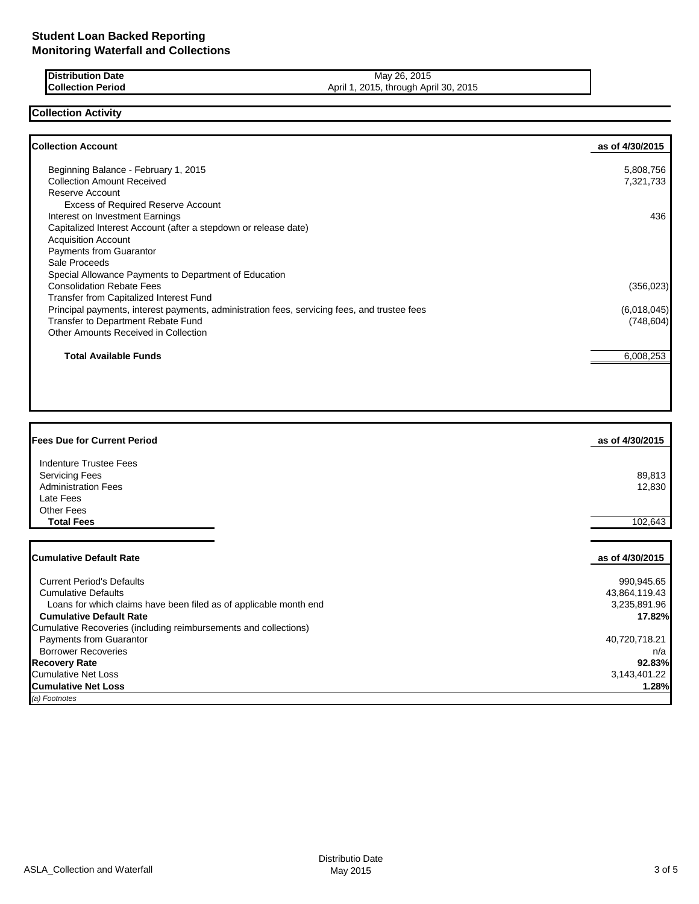| <b>Distribution Date</b> | May 26, 2015                          |
|--------------------------|---------------------------------------|
| <b>Collection Period</b> | April 1, 2015, through April 30, 2015 |

## **Collection Activity**

| <b>Collection Account</b>                                                                    | as of 4/30/2015 |
|----------------------------------------------------------------------------------------------|-----------------|
| Beginning Balance - February 1, 2015                                                         | 5,808,756       |
| <b>Collection Amount Received</b>                                                            | 7,321,733       |
| Reserve Account                                                                              |                 |
| <b>Excess of Required Reserve Account</b>                                                    |                 |
| Interest on Investment Earnings                                                              | 436             |
| Capitalized Interest Account (after a stepdown or release date)                              |                 |
| <b>Acquisition Account</b>                                                                   |                 |
| <b>Payments from Guarantor</b>                                                               |                 |
| Sale Proceeds                                                                                |                 |
| Special Allowance Payments to Department of Education                                        |                 |
| <b>Consolidation Rebate Fees</b>                                                             | (356, 023)      |
| Transfer from Capitalized Interest Fund                                                      |                 |
| Principal payments, interest payments, administration fees, servicing fees, and trustee fees | (6,018,045)     |
| Transfer to Department Rebate Fund                                                           | (748, 604)      |
| Other Amounts Received in Collection                                                         |                 |
| <b>Total Available Funds</b>                                                                 | 6,008,253       |
|                                                                                              |                 |

| <b>Fees Due for Current Period</b>                                | as of 4/30/2015 |
|-------------------------------------------------------------------|-----------------|
| Indenture Trustee Fees                                            |                 |
| <b>Servicing Fees</b>                                             | 89,813          |
| <b>Administration Fees</b>                                        | 12,830          |
| Late Fees                                                         |                 |
| <b>Other Fees</b>                                                 |                 |
| <b>Total Fees</b>                                                 | 102,643         |
|                                                                   |                 |
| <b>Cumulative Default Rate</b>                                    | as of 4/30/2015 |
| <b>Current Period's Defaults</b>                                  | 990,945.65      |
| <b>Cumulative Defaults</b>                                        | 43,864,119.43   |
| Loans for which claims have been filed as of applicable month end | 3,235,891.96    |
| <b>Cumulative Default Rate</b>                                    | 17.82%          |
| Cumulative Recoveries (including reimbursements and collections)  |                 |
| Payments from Guarantor                                           | 40,720,718.21   |
| <b>Borrower Recoveries</b>                                        | n/a             |
| <b>Recovery Rate</b>                                              | 92.83%          |
| <b>Cumulative Net Loss</b>                                        | 3,143,401.22    |
| <b>Cumulative Net Loss</b>                                        | 1.28%           |

*(a) Footnotes*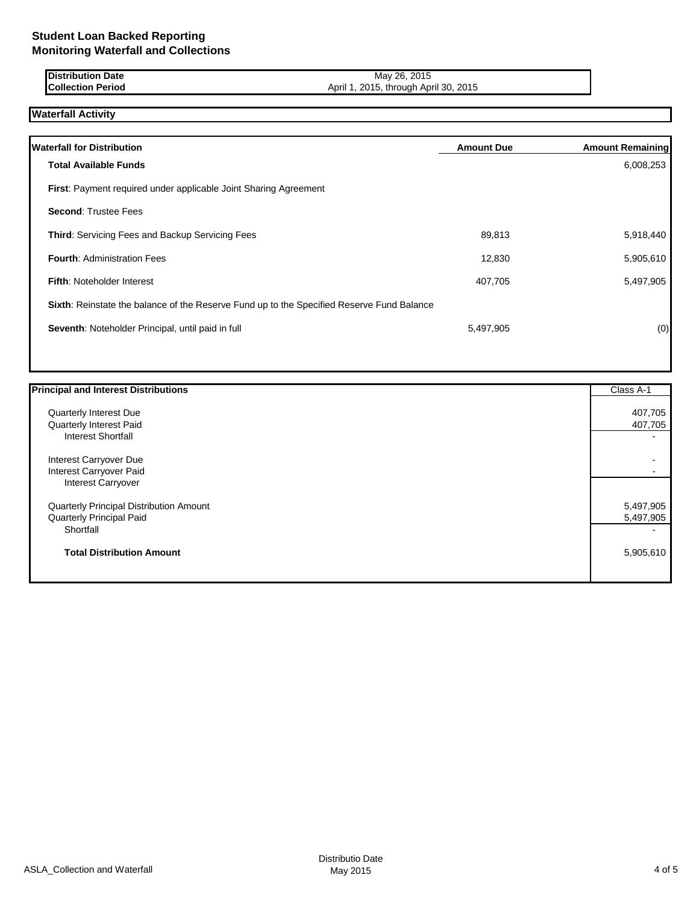## **Student Loan Backed Reporting Monitoring Waterfall and Collections**

| r<br>ribution Date<br>ווטושו | 2015<br>26.<br>May                            |
|------------------------------|-----------------------------------------------|
| <b>Collection Period</b>     | 2015<br>2015<br>April 30.<br>April<br>through |

# **Waterfall Activity**

| <b>Waterfall for Distribution</b>                                                         | <b>Amount Due</b> | <b>Amount Remaining</b> |
|-------------------------------------------------------------------------------------------|-------------------|-------------------------|
| <b>Total Available Funds</b>                                                              |                   | 6,008,253               |
| <b>First:</b> Payment required under applicable Joint Sharing Agreement                   |                   |                         |
| <b>Second: Trustee Fees</b>                                                               |                   |                         |
| <b>Third: Servicing Fees and Backup Servicing Fees</b>                                    | 89,813            | 5,918,440               |
| <b>Fourth: Administration Fees</b>                                                        | 12,830            | 5,905,610               |
| <b>Fifth: Noteholder Interest</b>                                                         | 407,705           | 5,497,905               |
| Sixth: Reinstate the balance of the Reserve Fund up to the Specified Reserve Fund Balance |                   |                         |
| Seventh: Noteholder Principal, until paid in full                                         | 5,497,905         | (0)                     |
|                                                                                           |                   |                         |

| <b>Principal and Interest Distributions</b> | Class A-1                |
|---------------------------------------------|--------------------------|
| Quarterly Interest Due                      | 407,705                  |
| Quarterly Interest Paid                     | 407,705                  |
| <b>Interest Shortfall</b>                   | $\overline{\phantom{0}}$ |
| Interest Carryover Due                      | $\overline{\phantom{0}}$ |
| Interest Carryover Paid                     | $\blacksquare$           |
| Interest Carryover                          |                          |
| Quarterly Principal Distribution Amount     | 5,497,905                |
| Quarterly Principal Paid                    | 5,497,905                |
| Shortfall                                   | $\overline{\phantom{0}}$ |
| <b>Total Distribution Amount</b>            | 5,905,610                |
|                                             |                          |